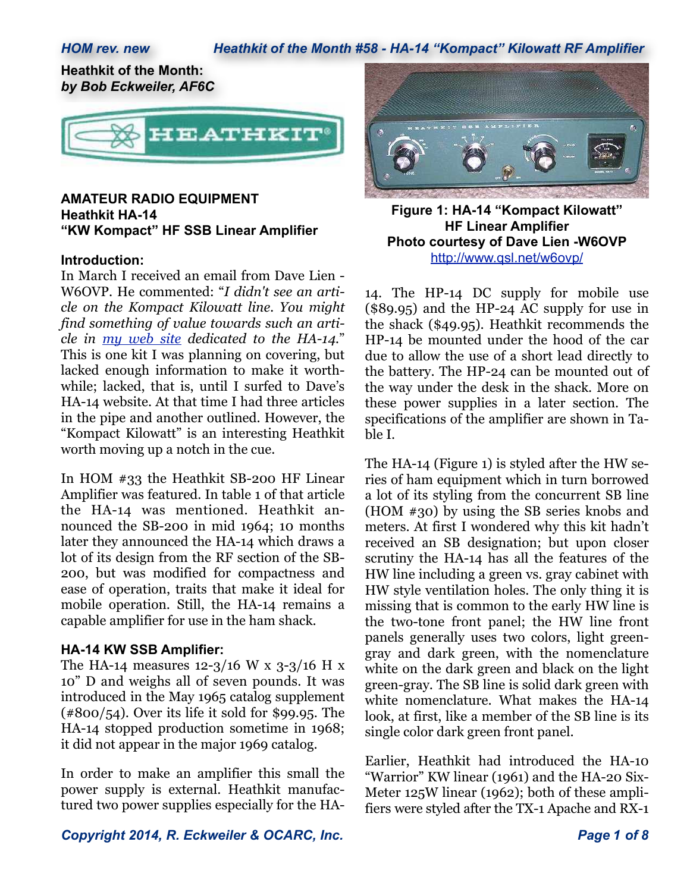## *HOM rev. new Heathkit of the Month #58 - HA-14 "Kompact" Kilowatt RF Amplifier*

**Heathkit of the Month:** *by Bob Eckweiler, AF6C*



## **AMATEUR RADIO EQUIPMENT Heathkit HA-14 "KW Kompact" HF SSB Linear Amplifier**

#### **Introduction:**

In March I received an email from Dave Lien - W6OVP. He commented: "*I didn't see an article on the Kompact Kilowatt line. You might find something of value towards such an article in my web site dedicated to the HA-14.*" This is one kit I was planning on covering, but lacked enough information to make it worthwhile; lacked, that is, until I surfed to Dave's HA-14 website. At that time I had three articles in the pipe and another outlined. However, the "Kompact Kilowatt" is an interesting Heathkit worth moving up a notch in the cue.

In HOM #33 the Heathkit SB-200 HF Linear Amplifier was featured. In table 1 of that article the HA-14 was mentioned. Heathkit announced the SB-200 in mid 1964; 10 months later they announced the HA-14 which draws a lot of its design from the RF section of the SB-200, but was modified for compactness and ease of operation, traits that make it ideal for mobile operation. Still, the HA-14 remains a capable amplifier for use in the ham shack.

#### **HA-14 KW SSB Amplifier:**

The HA-14 measures 12-3/16 W x 3-3/16 H x 10" D and weighs all of seven pounds. It was introduced in the May 1965 catalog supplement  $(*800/54)$ . Over its life it sold for \$99.95. The HA-14 stopped production sometime in 1968; it did not appear in the major 1969 catalog.

In order to make an amplifier this small the power supply is external. Heathkit manufactured two power supplies especially for the HA-



**Figure 1: HA-14 "Kompact Kilowatt" HF Linear Amplifier Photo courtesy of Dave Lien -W6OVP** http://www.qsl.net/w6ovp/

14. The HP-14 DC supply for mobile use (\$89.95) and the HP-24 AC supply for use in the shack (\$49.95). Heathkit recommends the HP-14 be mounted under the hood of the car due to allow the use of a short lead directly to the battery. The HP-24 can be mounted out of the way under the desk in the shack. More on these power supplies in a later section. The specifications of the amplifier are shown in Table I.

The HA-14 (Figure 1) is styled after the HW series of ham equipment which in turn borrowed a lot of its styling from the concurrent SB line (HOM #30) by using the SB series knobs and meters. At first I wondered why this kit hadn't received an SB designation; but upon closer scrutiny the HA-14 has all the features of the HW line including a green vs. gray cabinet with HW style ventilation holes. The only thing it is missing that is common to the early HW line is the two-tone front panel; the HW line front panels generally uses two colors, light greengray and dark green, with the nomenclature white on the dark green and black on the light green-gray. The SB line is solid dark green with white nomenclature. What makes the HA-14 look, at first, like a member of the SB line is its single color dark green front panel.

Earlier, Heathkit had introduced the HA-10 "Warrior" KW linear (1961) and the HA-20 Six-Meter 125W linear (1962); both of these amplifiers were styled after the TX-1 Apache and RX-1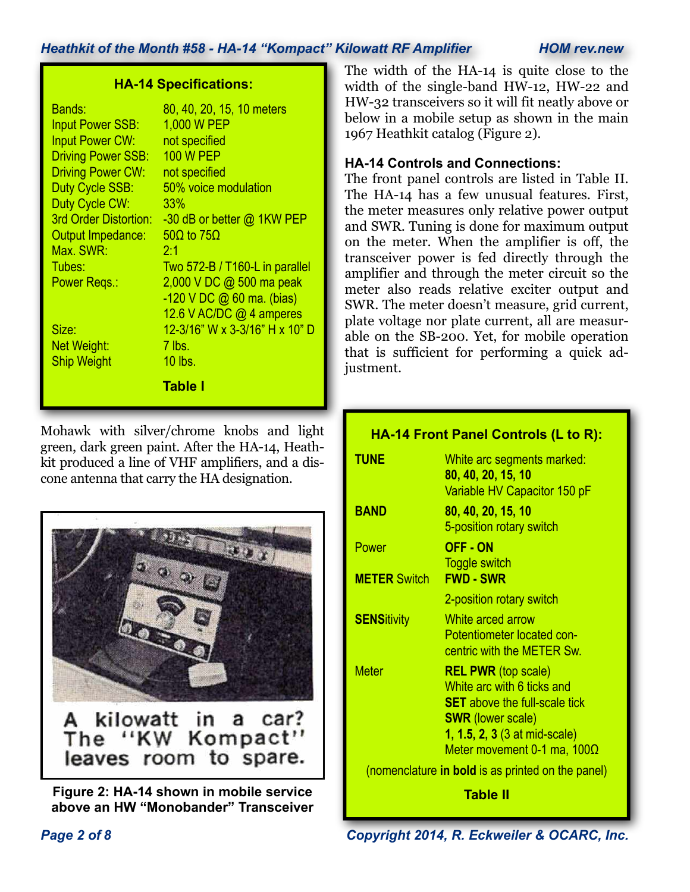| <b>HA-14 Specifications:</b> |                                |  |
|------------------------------|--------------------------------|--|
| <b>Bands:</b>                | 80, 40, 20, 15, 10 meters      |  |
| <b>Input Power SSB:</b>      | 1,000 W PEP                    |  |
| <b>Input Power CW:</b>       | not specified                  |  |
| <b>Driving Power SSB:</b>    | <b>100 W PEP</b>               |  |
| <b>Driving Power CW:</b>     | not specified                  |  |
| Duty Cycle SSB:              | 50% voice modulation           |  |
| Duty Cycle CW:               | 33%                            |  |
| 3rd Order Distortion:        | -30 dB or better @ 1KW PEP     |  |
| Output Impedance:            | $50\Omega$ to $75\Omega$       |  |
| Max. SWR:                    | 2:1                            |  |
| Tubes:                       | Two 572-B / T160-L in parallel |  |
| Power Regs.:                 | 2,000 V DC @ 500 ma peak       |  |
|                              | -120 V DC @ 60 ma. (bias)      |  |
|                              | 12.6 V AC/DC @ 4 amperes       |  |
| Size:                        | 12-3/16" W x 3-3/16" H x 10" D |  |
| Net Weight:                  | $7$ lbs.                       |  |
| <b>Ship Weight</b>           | 10 lbs.                        |  |
|                              | <b>Table I</b>                 |  |

Mohawk with silver/chrome knobs and light green, dark green paint. After the HA-14, Heathkit produced a line of VHF amplifiers, and a discone antenna that carry the HA designation.



**Figure 2: HA-14 shown in mobile service above an HW "Monobander" Transceiver**

The width of the HA-14 is quite close to the width of the single-band HW-12, HW-22 and HW-32 transceivers so it will fit neatly above or below in a mobile setup as shown in the main 1967 Heathkit catalog (Figure 2).

# **HA-14 Controls and Connections:**

The front panel controls are listed in Table II. The HA-14 has a few unusual features. First, the meter measures only relative power output and SWR. Tuning is done for maximum output on the meter. When the amplifier is off, the transceiver power is fed directly through the amplifier and through the meter circuit so the meter also reads relative exciter output and SWR. The meter doesn't measure, grid current, plate voltage nor plate current, all are measurable on the SB-200. Yet, for mobile operation that is sufficient for performing a quick adjustment.

# **HA-14 Front Panel Controls (L to R): TUNE** White arc segments marked: **80, 40, 20, 15, 10** Variable HV Capacitor 150 pF **BAND 80, 40, 20, 15, 10** 5-position rotary switch Power **OFF - ON** Toggle switch **METER** Switch **FWD - SWR** 2-position rotary switch **SENS**itivity White arced arrow Potentiometer located con centric with the METER Sw. Meter **REL PWR** (top scale) White arc with 6 ticks and **SET** above the full-scale tick **SWR** (lower scale) **1, 1.5, 2, 3** (3 at mid-scale) Meter movement 0-1 ma, 100Ω (nomenclature **in bold** is as printed on the panel) **Table II**

*Page 2 of 8 Copyright 2014, R. Eckweiler & OCARC, Inc.*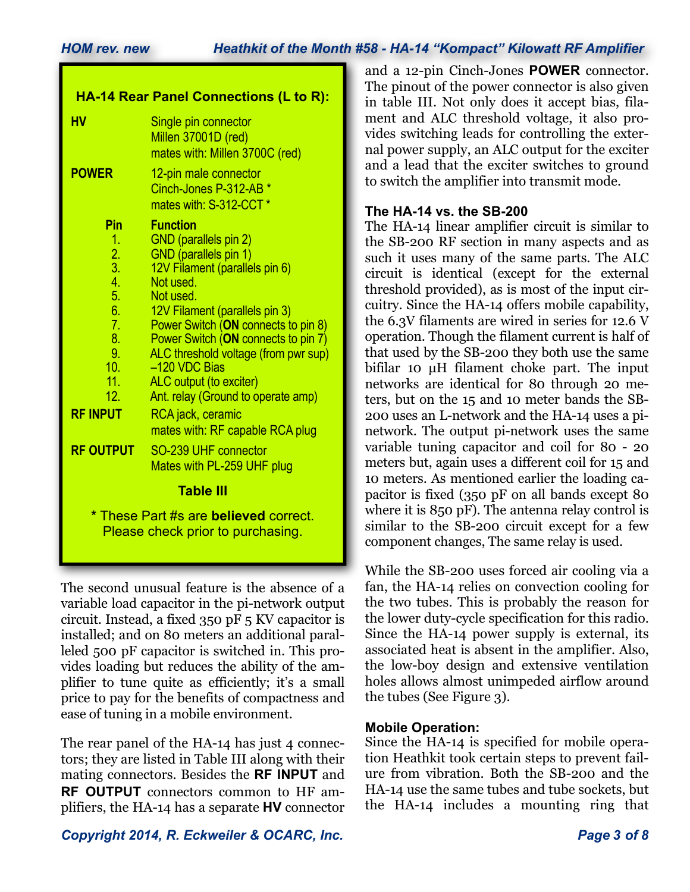| <b>HA-14 Rear Panel Connections (L to R):</b>                                                                                                        |                                                                                                                                                                                                                                                                                                                                                                                                                                                                                       |  |
|------------------------------------------------------------------------------------------------------------------------------------------------------|---------------------------------------------------------------------------------------------------------------------------------------------------------------------------------------------------------------------------------------------------------------------------------------------------------------------------------------------------------------------------------------------------------------------------------------------------------------------------------------|--|
| HV                                                                                                                                                   | Single pin connector<br>Millen 37001D (red)<br>mates with: Millen 3700C (red)                                                                                                                                                                                                                                                                                                                                                                                                         |  |
| <b>POWER</b>                                                                                                                                         | 12-pin male connector<br>Cinch-Jones P-312-AB *<br>mates with: S-312-CCT <sup>*</sup>                                                                                                                                                                                                                                                                                                                                                                                                 |  |
| Pin<br>1.<br>$\frac{2}{3}$<br>$\overline{4}$ .<br>5.<br>6.<br>7.<br>8.<br>9.<br>10 <sub>1</sub><br>11.<br>12.<br><b>RF INPUT</b><br><b>RF OUTPUT</b> | <b>Function</b><br>GND (parallels pin 2)<br>GND (parallels pin 1)<br>12V Filament (parallels pin 6)<br>Not used.<br>Not used.<br>12V Filament (parallels pin 3)<br>Power Switch (ON connects to pin 8)<br>Power Switch (ON connects to pin 7)<br>ALC threshold voltage (from pwr sup)<br>-120 VDC Bias<br>ALC output (to exciter)<br>Ant. relay (Ground to operate amp)<br>RCA jack, ceramic<br>mates with: RF capable RCA plug<br>SO-239 UHF connector<br>Mates with PL-259 UHF plug |  |
| <b>Table III</b>                                                                                                                                     |                                                                                                                                                                                                                                                                                                                                                                                                                                                                                       |  |
| * These Part #s are believed correct.<br>Please check prior to purchasing.                                                                           |                                                                                                                                                                                                                                                                                                                                                                                                                                                                                       |  |

The second unusual feature is the absence of a variable load capacitor in the pi-network output circuit. Instead, a fixed 350 pF 5 KV capacitor is installed; and on 80 meters an additional paralleled 500 pF capacitor is switched in. This provides loading but reduces the ability of the amplifier to tune quite as efficiently; it's a small price to pay for the benefits of compactness and ease of tuning in a mobile environment.

The rear panel of the HA-14 has just 4 connectors; they are listed in Table III along with their mating connectors. Besides the **RF INPUT** and **RF OUTPUT** connectors common to HF amplifiers, the HA-14 has a separate **HV** connector

*Copyright 2014, R. Eckweiler & OCARC, Inc. Page 3 of 8*

and a 12-pin Cinch-Jones **POWER** connector. The pinout of the power connector is also given in table III. Not only does it accept bias, filament and ALC threshold voltage, it also provides switching leads for controlling the external power supply, an ALC output for the exciter and a lead that the exciter switches to ground to switch the amplifier into transmit mode.

# **The HA-14 vs. the SB-200**

The HA-14 linear amplifier circuit is similar to the SB-200 RF section in many aspects and as such it uses many of the same parts. The ALC circuit is identical (except for the external threshold provided), as is most of the input circuitry. Since the HA-14 offers mobile capability, the 6.3V filaments are wired in series for 12.6 V operation. Though the filament current is half of that used by the SB-200 they both use the same bifilar 10 µH filament choke part. The input networks are identical for 80 through 20 meters, but on the 15 and 10 meter bands the SB-200 uses an L-network and the HA-14 uses a pinetwork. The output pi-network uses the same variable tuning capacitor and coil for 80 - 20 meters but, again uses a different coil for 15 and 10 meters. As mentioned earlier the loading capacitor is fixed (350 pF on all bands except 80 where it is 850 pF). The antenna relay control is similar to the SB-200 circuit except for a few component changes, The same relay is used.

While the SB-200 uses forced air cooling via a fan, the HA-14 relies on convection cooling for the two tubes. This is probably the reason for the lower duty-cycle specification for this radio. Since the HA-14 power supply is external, its associated heat is absent in the amplifier. Also, the low-boy design and extensive ventilation holes allows almost unimpeded airflow around the tubes (See Figure 3).

# **Mobile Operation:**

Since the HA-14 is specified for mobile operation Heathkit took certain steps to prevent failure from vibration. Both the SB-200 and the HA-14 use the same tubes and tube sockets, but the HA-14 includes a mounting ring that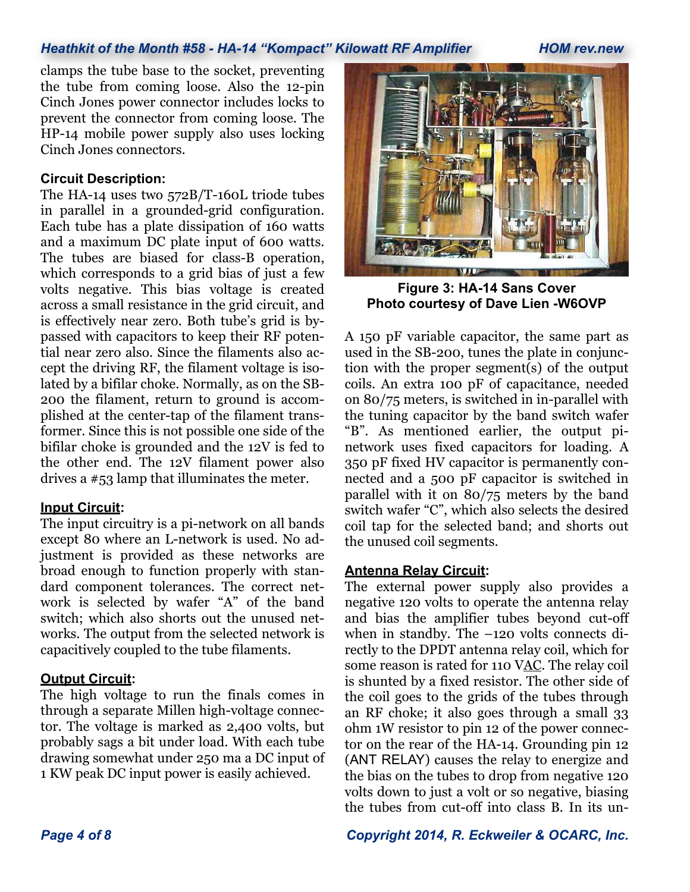clamps the tube base to the socket, preventing the tube from coming loose. Also the 12-pin Cinch Jones power connector includes locks to prevent the connector from coming loose. The HP-14 mobile power supply also uses locking Cinch Jones connectors.

#### **Circuit Description:**

The HA-14 uses two 572B/T-160L triode tubes in parallel in a grounded-grid configuration. Each tube has a plate dissipation of 160 watts and a maximum DC plate input of 600 watts. The tubes are biased for class-B operation, which corresponds to a grid bias of just a few volts negative. This bias voltage is created across a small resistance in the grid circuit, and is effectively near zero. Both tube's grid is bypassed with capacitors to keep their RF potential near zero also. Since the filaments also accept the driving RF, the filament voltage is isolated by a bifilar choke. Normally, as on the SB-200 the filament, return to ground is accomplished at the center-tap of the filament transformer. Since this is not possible one side of the bifilar choke is grounded and the 12V is fed to the other end. The 12V filament power also drives a #53 lamp that illuminates the meter.

#### **Input Circuit:**

The input circuitry is a pi-network on all bands except 80 where an L-network is used. No adjustment is provided as these networks are broad enough to function properly with standard component tolerances. The correct network is selected by wafer "A" of the band switch; which also shorts out the unused networks. The output from the selected network is capacitively coupled to the tube filaments.

#### **Output Circuit:**

The high voltage to run the finals comes in through a separate Millen high-voltage connector. The voltage is marked as 2,400 volts, but probably sags a bit under load. With each tube drawing somewhat under 250 ma a DC input of 1 KW peak DC input power is easily achieved.



**Figure 3: HA-14 Sans Cover Photo courtesy of Dave Lien -W6OVP**

A 150 pF variable capacitor, the same part as used in the SB-200, tunes the plate in conjunction with the proper segment(s) of the output coils. An extra 100 pF of capacitance, needed on 80/75 meters, is switched in in-parallel with the tuning capacitor by the band switch wafer "B". As mentioned earlier, the output pinetwork uses fixed capacitors for loading. A 350 pF fixed HV capacitor is permanently connected and a 500 pF capacitor is switched in parallel with it on 80/75 meters by the band switch wafer "C", which also selects the desired coil tap for the selected band; and shorts out the unused coil segments.

#### **Antenna Relay Circuit:**

The external power supply also provides a negative 120 volts to operate the antenna relay and bias the amplifier tubes beyond cut-off when in standby. The –120 volts connects directly to the DPDT antenna relay coil, which for some reason is rated for 110 VAC. The relay coil is shunted by a fixed resistor. The other side of the coil goes to the grids of the tubes through an RF choke; it also goes through a small 33 ohm 1W resistor to pin 12 of the power connector on the rear of the HA-14. Grounding pin 12 (ANT RELAY) causes the relay to energize and the bias on the tubes to drop from negative 120 volts down to just a volt or so negative, biasing the tubes from cut-off into class B. In its un-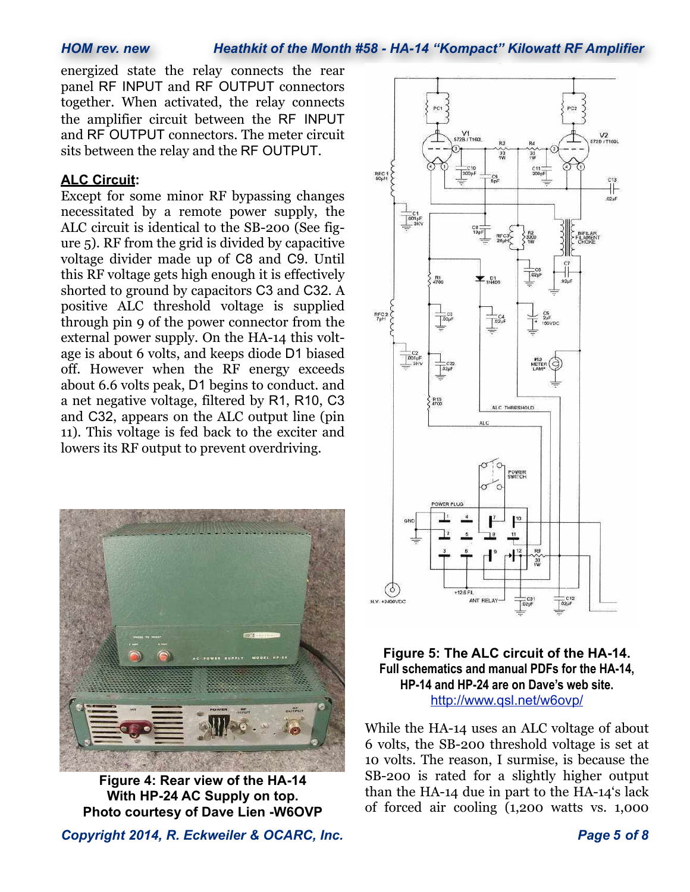energized state the relay connects the rear panel RF INPUT and RF OUTPUT connectors together. When activated, the relay connects the amplifier circuit between the RF INPUT and RF OUTPUT connectors. The meter circuit sits between the relay and the RF OUTPUT.

## **ALC Circuit:**

Except for some minor RF bypassing changes necessitated by a remote power supply, the ALC circuit is identical to the SB-200 (See figure 5). RF from the grid is divided by capacitive voltage divider made up of C8 and C9. Until this RF voltage gets high enough it is effectively shorted to ground by capacitors C3 and C32. A positive ALC threshold voltage is supplied through pin 9 of the power connector from the external power supply. On the HA-14 this voltage is about 6 volts, and keeps diode D1 biased off. However when the RF energy exceeds about 6.6 volts peak, D1 begins to conduct. and a net negative voltage, filtered by R1, R10, C3 and C32, appears on the ALC output line (pin 11). This voltage is fed back to the exciter and lowers its RF output to prevent overdriving.



**Figure 4: Rear view of the HA-14 With HP-24 AC Supply on top. Photo courtesy of Dave Lien -W6OVP**

*Copyright 2014, R. Eckweiler & OCARC, Inc. Page 5 of 8*



## **Figure 5: The ALC circuit of the HA-14. Full schematics and manual PDFs for the HA-14, HP-14 and HP-24 are on Dave's web site.** http://www.qsl.net/w6ovp/

While the HA-14 uses an ALC voltage of about 6 volts, the SB-200 threshold voltage is set at 10 volts. The reason, I surmise, is because the SB-200 is rated for a slightly higher output than the HA-14 due in part to the HA-14's lack of forced air cooling (1,200 watts vs. 1,000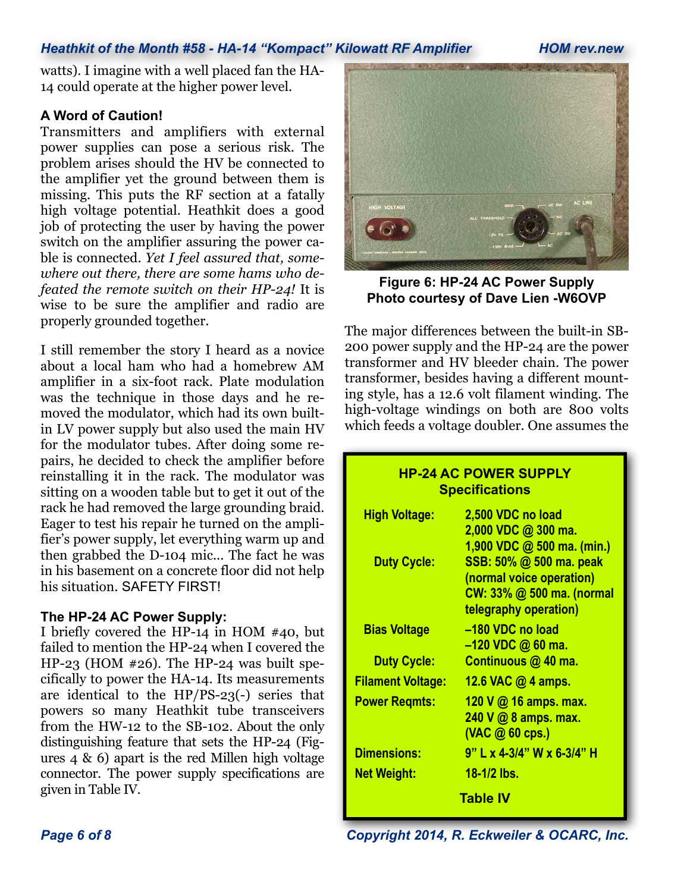watts). I imagine with a well placed fan the HA-14 could operate at the higher power level.

## **A Word of Caution!**

Transmitters and amplifiers with external power supplies can pose a serious risk. The problem arises should the HV be connected to the amplifier yet the ground between them is missing. This puts the RF section at a fatally high voltage potential. Heathkit does a good job of protecting the user by having the power switch on the amplifier assuring the power cable is connected. *Yet I feel assured that, somewhere out there, there are some hams who defeated the remote switch on their HP-24!* It is wise to be sure the amplifier and radio are properly grounded together.

I still remember the story I heard as a novice about a local ham who had a homebrew AM amplifier in a six-foot rack. Plate modulation was the technique in those days and he removed the modulator, which had its own builtin LV power supply but also used the main HV for the modulator tubes. After doing some repairs, he decided to check the amplifier before reinstalling it in the rack. The modulator was sitting on a wooden table but to get it out of the rack he had removed the large grounding braid. Eager to test his repair he turned on the amplifier's power supply, let everything warm up and then grabbed the D-104 mic... The fact he was in his basement on a concrete floor did not help his situation. SAFETY FIRST!

#### **The HP-24 AC Power Supply:**

I briefly covered the HP-14 in HOM #40, but failed to mention the HP-24 when I covered the HP-23 (HOM #26). The HP-24 was built specifically to power the HA-14. Its measurements are identical to the HP/PS-23(-) series that powers so many Heathkit tube transceivers from the HW-12 to the SB-102. About the only distinguishing feature that sets the HP-24 (Figures 4 & 6) apart is the red Millen high voltage connector. The power supply specifications are given in Table IV.



**Figure 6: HP-24 AC Power Supply Photo courtesy of Dave Lien -W6OVP**

The major differences between the built-in SB-200 power supply and the HP-24 are the power transformer and HV bleeder chain. The power transformer, besides having a different mounting style, has a 12.6 volt filament winding. The high-voltage windings on both are 800 volts which feeds a voltage doubler. One assumes the

# **HP-24 AC POWER SUPPLY Specifications**

| 2,500 VDC no load          |  |  |
|----------------------------|--|--|
| 2,000 VDC @ 300 ma.        |  |  |
| 1,900 VDC @ 500 ma. (min.) |  |  |
| SSB: 50% @ 500 ma. peak    |  |  |
| (normal voice operation)   |  |  |
| CW: 33% @ 500 ma. (normal  |  |  |
| telegraphy operation)      |  |  |
| -180 VDC no load           |  |  |
| $-120$ VDC $@60$ ma.       |  |  |
| Continuous @ 40 ma.        |  |  |
| 12.6 VAC $@$ 4 amps.       |  |  |
| 120 V @ 16 amps. max.      |  |  |
| 240 V @ 8 amps. max.       |  |  |
| $($ VAC $\omega$ 60 cps.)  |  |  |
| 9" L x 4-3/4" W x 6-3/4" H |  |  |
| 18-1/2 lbs.                |  |  |
| Table IV                   |  |  |
|                            |  |  |

*Page 6 of 8 Copyright 2014, R. Eckweiler & OCARC, Inc.*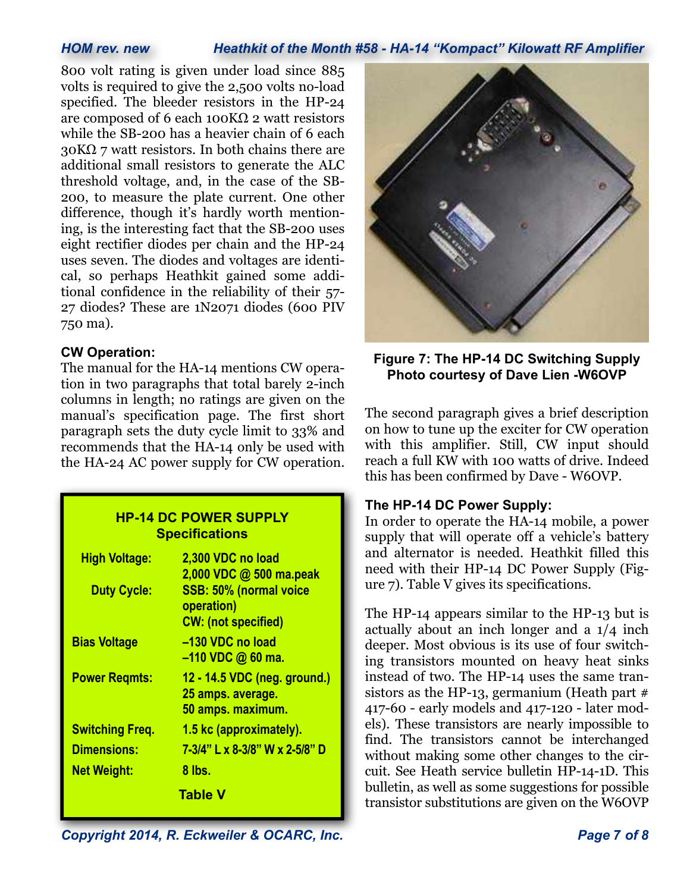800 volt rating is given under load since 885 volts is required to give the 2,500 volts no-load specified. The bleeder resistors in the HP-24 are composed of 6 each 100 $K\Omega$  2 watt resistors while the SB-200 has a heavier chain of 6 each  $30K\Omega$  7 watt resistors. In both chains there are additional small resistors to generate the ALC threshold voltage, and, in the case of the SB-200, to measure the plate current. One other difference, though it's hardly worth mentioning, is the interesting fact that the SB-200 uses eight rectifier diodes per chain and the HP-24 uses seven. The diodes and voltages are identical, so perhaps Heathkit gained some additional confidence in the reliability of their 57- 27 diodes? These are 1N2071 diodes (600 PIV 750 ma).

## **CW Operation:**

The manual for the HA-14 mentions CW operation in two paragraphs that total barely 2-inch columns in length; no ratings are given on the manual's specification page. The first short paragraph sets the duty cycle limit to 33% and recommends that the HA-14 only be used with the HA-24 AC power supply for CW operation.

#### **HP-14 DC POWER SUPPLY Specifications**

| <b>High Voltage:</b>   | 2,300 VDC no load<br>2,000 VDC @ 500 ma.peak                           |
|------------------------|------------------------------------------------------------------------|
| <b>Duty Cycle:</b>     | SSB: 50% (normal voice<br>operation)<br><b>CW: (not specified)</b>     |
| <b>Bias Voltage</b>    | -130 VDC no load<br>$-110$ VDC $@60$ ma.                               |
| <b>Power Regmts:</b>   | 12 - 14.5 VDC (neg. ground.)<br>25 amps. average.<br>50 amps. maximum. |
| <b>Switching Freq.</b> | 1.5 kc (approximately).                                                |
| <b>Dimensions:</b>     | 7-3/4" L x 8-3/8" W x 2-5/8" D                                         |
| <b>Net Weight:</b>     | 8 lbs.                                                                 |
|                        | Table V                                                                |



**Figure 7: The HP-14 DC Switching Supply Photo courtesy of Dave Lien -W6OVP**

The second paragraph gives a brief description on how to tune up the exciter for CW operation with this amplifier. Still, CW input should reach a full KW with 100 watts of drive. Indeed this has been confirmed by Dave - W6OVP.

## **The HP-14 DC Power Supply:**

In order to operate the HA-14 mobile, a power supply that will operate off a vehicle's battery and alternator is needed. Heathkit filled this need with their HP-14 DC Power Supply (Figure 7). Table V gives its specifications.

The HP-14 appears similar to the HP-13 but is actually about an inch longer and a 1/4 inch deeper. Most obvious is its use of four switching transistors mounted on heavy heat sinks instead of two. The HP-14 uses the same transistors as the HP-13, germanium (Heath part # 417-60 - early models and 417-120 - later models). These transistors are nearly impossible to find. The transistors cannot be interchanged without making some other changes to the circuit. See Heath service bulletin HP-14-1D. This bulletin, as well as some suggestions for possible transistor substitutions are given on the W6OVP

*Copyright 2014, R. Eckweiler & OCARC, Inc. Page 7 of 8*